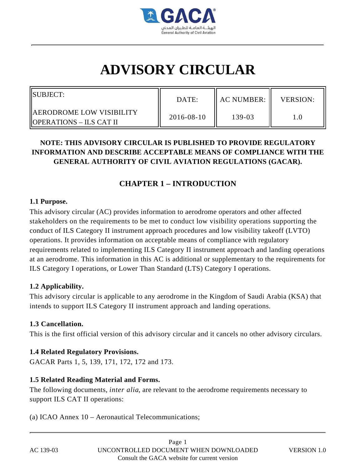

# **ADVISORY CIRCULAR**

| <b>ISUBJECT:</b>                                       | DATE:            | I AC NUMBER: | <b>VERSION:</b> |
|--------------------------------------------------------|------------------|--------------|-----------------|
| IAERODROME LOW VISIBILITY<br>  OPERATIONS – ILS CAT II | $2016 - 08 - 10$ | 139-03       |                 |

# **NOTE: THIS ADVISORY CIRCULAR IS PUBLISHED TO PROVIDE REGULATORY INFORMATION AND DESCRIBE ACCEPTABLE MEANS OF COMPLIANCE WITH THE GENERAL AUTHORITY OF CIVIL AVIATION REGULATIONS (GACAR).**

# **CHAPTER 1 – INTRODUCTION**

#### **1.1 Purpose.**

This advisory circular (AC) provides information to aerodrome operators and other affected stakeholders on the requirements to be met to conduct low visibility operations supporting the conduct of ILS Category II instrument approach procedures and low visibility takeoff (LVTO) operations. It provides information on acceptable means of compliance with regulatory requirements related to implementing ILS Category II instrument approach and landing operations at an aerodrome. This information in this AC is additional or supplementary to the requirements for ILS Category I operations, or Lower Than Standard (LTS) Category I operations.

## **1.2 Applicability.**

This advisory circular is applicable to any aerodrome in the Kingdom of Saudi Arabia (KSA) that intends to support ILS Category II instrument approach and landing operations.

## **1.3 Cancellation.**

This is the first official version of this advisory circular and it cancels no other advisory circulars.

## **1.4 Related Regulatory Provisions.**

GACAR Parts 1, 5, 139, 171, 172, 172 and 173.

## **1.5 Related Reading Material and Forms.**

The following documents, *inter alia*, are relevant to the aerodrome requirements necessary to support ILS CAT II operations:

(a) ICAO Annex 10 – Aeronautical Telecommunications;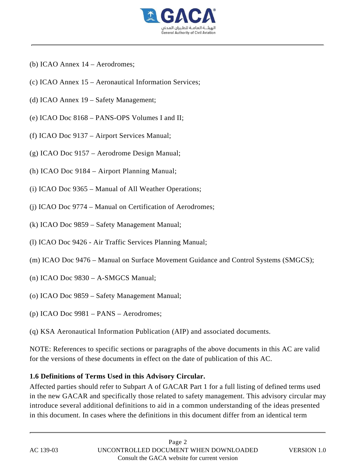

- (b) ICAO Annex 14 Aerodromes;
- (c) ICAO Annex 15 Aeronautical Information Services;
- (d) ICAO Annex 19 Safety Management;
- (e) ICAO Doc 8168 PANS-OPS Volumes I and II;
- (f) ICAO Doc 9137 Airport Services Manual;
- (g) ICAO Doc 9157 Aerodrome Design Manual;
- (h) ICAO Doc 9184 Airport Planning Manual;
- (i) ICAO Doc 9365 Manual of All Weather Operations;
- (j) ICAO Doc 9774 Manual on Certification of Aerodromes;
- (k) ICAO Doc 9859 Safety Management Manual;
- (l) ICAO Doc 9426 Air Traffic Services Planning Manual;
- (m) ICAO Doc 9476 Manual on Surface Movement Guidance and Control Systems (SMGCS);
- (n) ICAO Doc 9830 A-SMGCS Manual;
- (o) ICAO Doc 9859 Safety Management Manual;
- (p) ICAO Doc 9981 PANS Aerodromes;
- (q) KSA Aeronautical Information Publication (AIP) and associated documents.

NOTE: References to specific sections or paragraphs of the above documents in this AC are valid for the versions of these documents in effect on the date of publication of this AC.

#### **1.6 Definitions of Terms Used in this Advisory Circular.**

Affected parties should refer to Subpart A of GACAR Part 1 for a full listing of defined terms used in the new GACAR and specifically those related to safety management. This advisory circular may introduce several additional definitions to aid in a common understanding of the ideas presented in this document. In cases where the definitions in this document differ from an identical term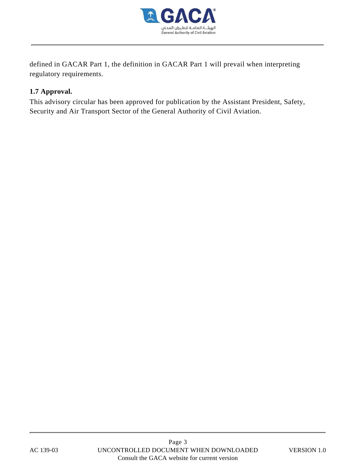

defined in GACAR Part 1, the definition in GACAR Part 1 will prevail when interpreting regulatory requirements.

## **1.7 Approval.**

This advisory circular has been approved for publication by the Assistant President, Safety, Security and Air Transport Sector of the General Authority of Civil Aviation.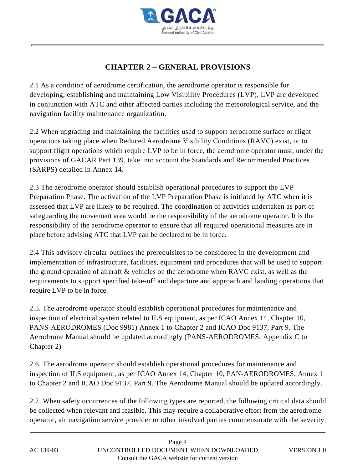

# **CHAPTER 2 – GENERAL PROVISIONS**

2.1 As a condition of aerodrome certification, the aerodrome operator is responsible for developing, establishing and maintaining Low Visibility Procedures (LVP). LVP are developed in conjunction with ATC and other affected parties including the meteorological service, and the navigation facility maintenance organization.

2.2 When upgrading and maintaining the facilities used to support aerodrome surface or flight operations taking place when Reduced Aerodrome Visibility Conditions (RAVC) exist, or to support flight operations which require LVP to be in force, the aerodrome operator must, under the provisions of GACAR Part 139, take into account the Standards and Recommended Practices (SARPS) detailed in Annex 14.

2.3 The aerodrome operator should establish operational procedures to support the LVP Preparation Phase. The activation of the LVP Preparation Phase is initiated by ATC when it is assessed that LVP are likely to be required. The coordination of activities undertaken as part of safeguarding the movement area would be the responsibility of the aerodrome operator. It is the responsibility of the aerodrome operator to ensure that all required operational measures are in place before advising ATC that LVP can be declared to be in force.

2.4 This advisory circular outlines the prerequisites to be considered in the development and implementation of infrastructure, facilities, equipment and procedures that will be used to support the ground operation of aircraft & vehicles on the aerodrome when RAVC exist, as well as the requirements to support specified take-off and departure and approach and landing operations that require LVP to be in force.

2.5. The aerodrome operator should establish operational procedures for maintenance and inspection of electrical system related to ILS equipment, as per ICAO Annex 14, Chapter 10, PANS-AERODROMES (Doc 9981) Annex 1 to Chapter 2 and ICAO Doc 9137, Part 9. The Aerodrome Manual should be updated accordingly (PANS-AERODROMES, Appendix C to Chapter 2)

2.6. The aerodrome operator should establish operational procedures for maintenance and inspection of ILS equipment, as per ICAO Annex 14, Chapter 10, PAN-AERODROMES, Annex 1 to Chapter 2 and ICAO Doc 9137, Part 9. The Aerodrome Manual should be updated accordingly.

2.7. When safety occurrences of the following types are reported, the following critical data should be collected when relevant and feasible. This may require a collaborative effort from the aerodrome operator, air navigation service provider or other involved parties commensurate with the severity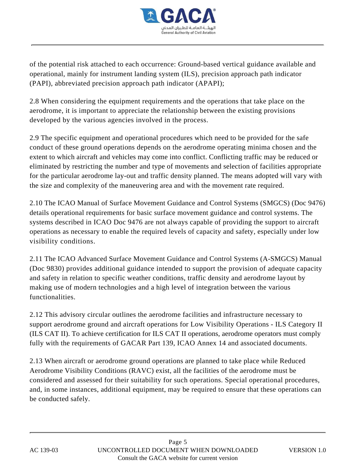

of the potential risk attached to each occurrence: Ground-based vertical guidance available and operational, mainly for instrument landing system (ILS), precision approach path indicator (PAPI), abbreviated precision approach path indicator (APAPI);

2.8 When considering the equipment requirements and the operations that take place on the aerodrome, it is important to appreciate the relationship between the existing provisions developed by the various agencies involved in the process.

2.9 The specific equipment and operational procedures which need to be provided for the safe conduct of these ground operations depends on the aerodrome operating minima chosen and the extent to which aircraft and vehicles may come into conflict. Conflicting traffic may be reduced or eliminated by restricting the number and type of movements and selection of facilities appropriate for the particular aerodrome lay-out and traffic density planned. The means adopted will vary with the size and complexity of the maneuvering area and with the movement rate required.

2.10 The ICAO Manual of Surface Movement Guidance and Control Systems (SMGCS) (Doc 9476) details operational requirements for basic surface movement guidance and control systems. The systems described in ICAO Doc 9476 are not always capable of providing the support to aircraft operations as necessary to enable the required levels of capacity and safety, especially under low visibility conditions.

2.11 The ICAO Advanced Surface Movement Guidance and Control Systems (A-SMGCS) Manual (Doc 9830) provides additional guidance intended to support the provision of adequate capacity and safety in relation to specific weather conditions, traffic density and aerodrome layout by making use of modern technologies and a high level of integration between the various functionalities.

2.12 This advisory circular outlines the aerodrome facilities and infrastructure necessary to support aerodrome ground and aircraft operations for Low Visibility Operations - ILS Category II (ILS CAT II). To achieve certification for ILS CAT II operations, aerodrome operators must comply fully with the requirements of GACAR Part 139, ICAO Annex 14 and associated documents.

2.13 When aircraft or aerodrome ground operations are planned to take place while Reduced Aerodrome Visibility Conditions (RAVC) exist, all the facilities of the aerodrome must be considered and assessed for their suitability for such operations. Special operational procedures, and, in some instances, additional equipment, may be required to ensure that these operations can be conducted safely.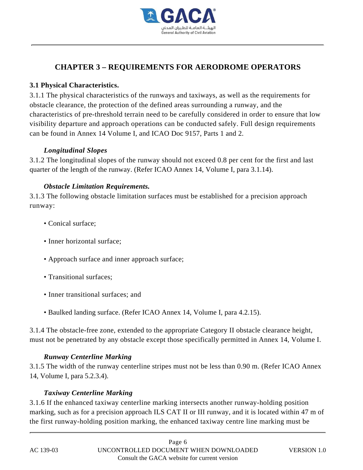

# **CHAPTER 3 – REQUIREMENTS FOR AERODROME OPERATORS**

## **3.1 Physical Characteristics.**

3.1.1 The physical characteristics of the runways and taxiways, as well as the requirements for obstacle clearance, the protection of the defined areas surrounding a runway, and the characteristics of pre-threshold terrain need to be carefully considered in order to ensure that low visibility departure and approach operations can be conducted safely. Full design requirements can be found in Annex 14 Volume I, and ICAO Doc 9157, Parts 1 and 2.

## *Longitudinal Slopes*

3.1.2 The longitudinal slopes of the runway should not exceed 0.8 per cent for the first and last quarter of the length of the runway. (Refer ICAO Annex 14, Volume I, para 3.1.14).

## *Obstacle Limitation Requirements.*

3.1.3 The following obstacle limitation surfaces must be established for a precision approach runway:

- Conical surface;
- Inner horizontal surface:
- Approach surface and inner approach surface;
- Transitional surfaces;
- Inner transitional surfaces; and
- Baulked landing surface. (Refer ICAO Annex 14, Volume I, para 4.2.15).

3.1.4 The obstacle-free zone, extended to the appropriate Category II obstacle clearance height, must not be penetrated by any obstacle except those specifically permitted in Annex 14, Volume I.

## *Runway Centerline Marking*

3.1.5 The width of the runway centerline stripes must not be less than 0.90 m. (Refer ICAO Annex 14, Volume I, para 5.2.3.4).

## *Taxiway Centerline Marking*

3.1.6 If the enhanced taxiway centerline marking intersects another runway-holding position marking, such as for a precision approach ILS CAT II or III runway, and it is located within 47 m of the first runway-holding position marking, the enhanced taxiway centre line marking must be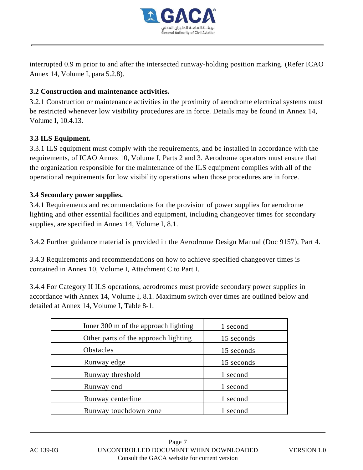

interrupted 0.9 m prior to and after the intersected runway-holding position marking. (Refer ICAO Annex 14, Volume I, para 5.2.8).

## **3.2 Construction and maintenance activities.**

3.2.1 Construction or maintenance activities in the proximity of aerodrome electrical systems must be restricted whenever low visibility procedures are in force. Details may be found in Annex 14, Volume I, 10.4.13.

## **3.3 ILS Equipment.**

3.3.1 ILS equipment must comply with the requirements, and be installed in accordance with the requirements, of ICAO Annex 10, Volume I, Parts 2 and 3. Aerodrome operators must ensure that the organization responsible for the maintenance of the ILS equipment complies with all of the operational requirements for low visibility operations when those procedures are in force.

## **3.4 Secondary power supplies.**

3.4.1 Requirements and recommendations for the provision of power supplies for aerodrome lighting and other essential facilities and equipment, including changeover times for secondary supplies, are specified in Annex 14, Volume I, 8.1.

3.4.2 Further guidance material is provided in the Aerodrome Design Manual (Doc 9157), Part 4.

3.4.3 Requirements and recommendations on how to achieve specified changeover times is contained in Annex 10, Volume I, Attachment C to Part I.

3.4.4 For Category II ILS operations, aerodromes must provide secondary power supplies in accordance with Annex 14, Volume I, 8.1. Maximum switch over times are outlined below and detailed at Annex 14, Volume I, Table 8-1.

| Inner 300 m of the approach lighting | 1 second   |
|--------------------------------------|------------|
| Other parts of the approach lighting | 15 seconds |
| <b>Obstacles</b>                     | 15 seconds |
| Runway edge                          | 15 seconds |
| Runway threshold                     | 1 second   |
| Runway end                           | 1 second   |
| Runway centerline                    | 1 second   |
| Runway touchdown zone                | 1 second   |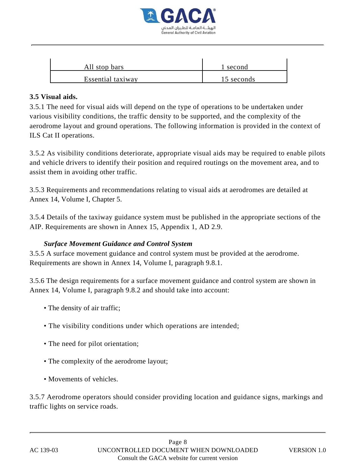

| All stop bars     | l second   |
|-------------------|------------|
| Essential taxiway | 15 seconds |

#### **3.5 Visual aids.**

3.5.1 The need for visual aids will depend on the type of operations to be undertaken under various visibility conditions, the traffic density to be supported, and the complexity of the aerodrome layout and ground operations. The following information is provided in the context of ILS Cat II operations.

3.5.2 As visibility conditions deteriorate, appropriate visual aids may be required to enable pilots and vehicle drivers to identify their position and required routings on the movement area, and to assist them in avoiding other traffic.

3.5.3 Requirements and recommendations relating to visual aids at aerodromes are detailed at Annex 14, Volume I, Chapter 5.

3.5.4 Details of the taxiway guidance system must be published in the appropriate sections of the AIP. Requirements are shown in Annex 15, Appendix 1, AD 2.9.

## *Surface Movement Guidance and Control System*

3.5.5 A surface movement guidance and control system must be provided at the aerodrome. Requirements are shown in Annex 14, Volume I, paragraph 9.8.1.

3.5.6 The design requirements for a surface movement guidance and control system are shown in Annex 14, Volume I, paragraph 9.8.2 and should take into account:

- The density of air traffic;
- The visibility conditions under which operations are intended;
- The need for pilot orientation;
- The complexity of the aerodrome layout;
- Movements of vehicles.

3.5.7 Aerodrome operators should consider providing location and guidance signs, markings and traffic lights on service roads.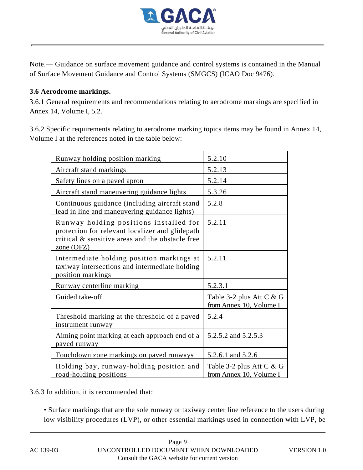

Note.— Guidance on surface movement guidance and control systems is contained in the Manual of Surface Movement Guidance and Control Systems (SMGCS) (ICAO Doc 9476).

## **3.6 Aerodrome markings.**

3.6.1 General requirements and recommendations relating to aerodrome markings are specified in Annex 14, Volume I, 5.2.

3.6.2 Specific requirements relating to aerodrome marking topics items may be found in Annex 14, Volume I at the references noted in the table below:

| Runway holding position marking                                                                                                                               | 5.2.10                                              |
|---------------------------------------------------------------------------------------------------------------------------------------------------------------|-----------------------------------------------------|
| Aircraft stand markings                                                                                                                                       | 5.2.13                                              |
| Safety lines on a paved apron                                                                                                                                 | 5.2.14                                              |
| Aircraft stand maneuvering guidance lights                                                                                                                    | <u>5.3.26</u>                                       |
| Continuous guidance (including aircraft stand<br>lead in line and maneuvering guidance lights)                                                                | 5.2.8                                               |
| Runway holding positions installed for<br>protection for relevant localizer and glidepath<br>critical & sensitive areas and the obstacle free<br>zone $(OFZ)$ | 5.2.11                                              |
| Intermediate holding position markings at<br>taxiway intersections and intermediate holding<br>position markings                                              | 5.2.11                                              |
| Runway centerline marking                                                                                                                                     | 5.2.3.1                                             |
| Guided take-off                                                                                                                                               | Table 3-2 plus Att C & G<br>from Annex 10, Volume I |
| Threshold marking at the threshold of a paved<br>instrument runway                                                                                            | 5.2.4                                               |
| Aiming point marking at each approach end of a<br>paved runway                                                                                                | 5.2.5.2 and 5.2.5.3                                 |
| Touchdown zone markings on paved runways                                                                                                                      | 5.2.6.1 and 5.2.6                                   |
| Holding bay, runway-holding position and<br>road-holding positions                                                                                            | Table 3-2 plus Att C & G<br>from Annex 10, Volume I |

3.6.3 In addition, it is recommended that:

• Surface markings that are the sole runway or taxiway center line reference to the users during low visibility procedures (LVP), or other essential markings used in connection with LVP, be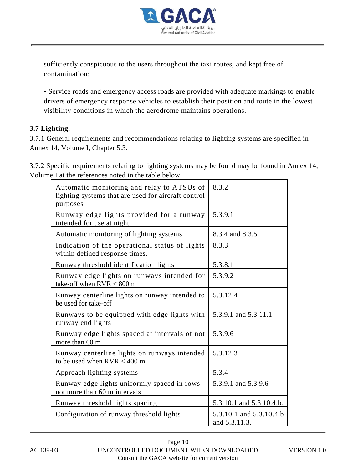

sufficiently conspicuous to the users throughout the taxi routes, and kept free of contamination;

• Service roads and emergency access roads are provided with adequate markings to enable drivers of emergency response vehicles to establish their position and route in the lowest visibility conditions in which the aerodrome maintains operations.

## **3.7 Lighting.**

3.7.1 General requirements and recommendations relating to lighting systems are specified in Annex 14, Volume I, Chapter 5.3.

3.7.2 Specific requirements relating to lighting systems may be found may be found in Annex 14, Volume I at the references noted in the table below:

| Automatic monitoring and relay to ATSUs of<br>lighting systems that are used for aircraft control<br>purposes | 8.3.2                                    |
|---------------------------------------------------------------------------------------------------------------|------------------------------------------|
| Runway edge lights provided for a runway<br>intended for use at night                                         | 5.3.9.1                                  |
| Automatic monitoring of lighting systems                                                                      | 8.3.4 and 8.3.5                          |
| Indication of the operational status of lights<br>within defined response times.                              | 8.3.3                                    |
| Runway threshold identification lights                                                                        | 5.3.8.1                                  |
| Runway edge lights on runways intended for<br>take-off when $RVR < 800m$                                      | 5.3.9.2                                  |
| Runway centerline lights on runway intended to<br>be used for take-off                                        | 5.3.12.4                                 |
| Runways to be equipped with edge lights with<br>runway end lights                                             | 5.3.9.1 and 5.3.11.1                     |
| Runway edge lights spaced at intervals of not<br>more than 60 m                                               | 5.3.9.6                                  |
| Runway centerline lights on runways intended<br>to be used when $RVR < 400$ m                                 | 5.3.12.3                                 |
| Approach lighting systems                                                                                     | 5.3.4                                    |
| Runway edge lights uniformly spaced in rows -<br>not more than 60 m intervals                                 | 5.3.9.1 and 5.3.9.6                      |
| Runway threshold lights spacing                                                                               | 5.3.10.1 and 5.3.10.4.b.                 |
| Configuration of runway threshold lights                                                                      | 5.3.10.1 and 5.3.10.4.b<br>and 5.3.11.3. |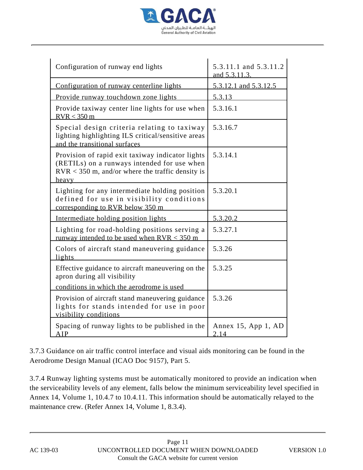

| Configuration of runway end lights                                                                                                                             | 5.3.11.1 and 5.3.11.2<br>and 5.3.11.3. |
|----------------------------------------------------------------------------------------------------------------------------------------------------------------|----------------------------------------|
| Configuration of runway centerline lights                                                                                                                      | 5.3.12.1 and 5.3.12.5                  |
| Provide runway touchdown zone lights                                                                                                                           | 5.3.13                                 |
| Provide taxiway center line lights for use when<br>RVR < 350 m                                                                                                 | 5.3.16.1                               |
| Special design criteria relating to taxiway<br>lighting highlighting ILS critical/sensitive areas<br>and the transitional surfaces                             | 5.3.16.7                               |
| Provision of rapid exit taxiway indicator lights<br>(RETILs) on a runways intended for use when<br>$RVR < 350$ m, and/or where the traffic density is<br>heavy | 5.3.14.1                               |
| Lighting for any intermediate holding position<br>defined for use in visibility conditions<br>corresponding to RVR below 350 m                                 | 5.3.20.1                               |
| Intermediate holding position lights                                                                                                                           | 5.3.20.2                               |
| Lighting for road-holding positions serving a<br>runway intended to be used when $RVR < 350$ m                                                                 | 5.3.27.1                               |
| Colors of aircraft stand maneuvering guidance<br>lights                                                                                                        | 5.3.26                                 |
| Effective guidance to aircraft maneuvering on the<br>apron during all visibility                                                                               | 5.3.25                                 |
| conditions in which the aerodrome is used                                                                                                                      |                                        |
| Provision of aircraft stand maneuvering guidance<br>lights for stands intended for use in poor<br>visibility conditions                                        | 5.3.26                                 |
| Spacing of runway lights to be published in the<br>AIP                                                                                                         | Annex 15, App 1, AD<br>2.14            |

3.7.3 Guidance on air traffic control interface and visual aids monitoring can be found in the Aerodrome Design Manual (ICAO Doc 9157), Part 5.

3.7.4 Runway lighting systems must be automatically monitored to provide an indication when the serviceability levels of any element, falls below the minimum serviceability level specified in Annex 14, Volume 1, 10.4.7 to 10.4.11. This information should be automatically relayed to the maintenance crew. (Refer Annex 14, Volume 1, 8.3.4).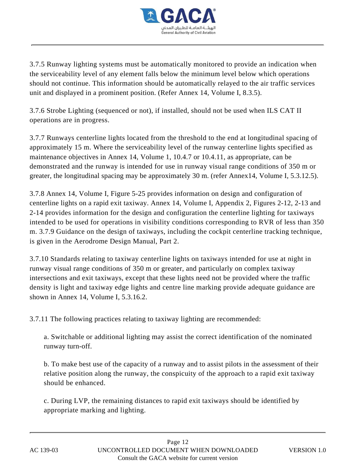

3.7.5 Runway lighting systems must be automatically monitored to provide an indication when the serviceability level of any element falls below the minimum level below which operations should not continue. This information should be automatically relayed to the air traffic services unit and displayed in a prominent position. (Refer Annex 14, Volume I, 8.3.5).

3.7.6 Strobe Lighting (sequenced or not), if installed, should not be used when ILS CAT II operations are in progress.

3.7.7 Runways centerline lights located from the threshold to the end at longitudinal spacing of approximately 15 m. Where the serviceability level of the runway centerline lights specified as maintenance objectives in Annex 14, Volume 1, 10.4.7 or 10.4.11, as appropriate, can be demonstrated and the runway is intended for use in runway visual range conditions of 350 m or greater, the longitudinal spacing may be approximately 30 m. (refer Annex14, Volume I, 5.3.12.5).

3.7.8 Annex 14, Volume I, Figure 5-25 provides information on design and configuration of centerline lights on a rapid exit taxiway. Annex 14, Volume I, Appendix 2, Figures 2-12, 2-13 and 2-14 provides information for the design and configuration the centerline lighting for taxiways intended to be used for operations in visibility conditions corresponding to RVR of less than 350 m. 3.7.9 Guidance on the design of taxiways, including the cockpit centerline tracking technique, is given in the Aerodrome Design Manual, Part 2.

3.7.10 Standards relating to taxiway centerline lights on taxiways intended for use at night in runway visual range conditions of 350 m or greater, and particularly on complex taxiway intersections and exit taxiways, except that these lights need not be provided where the traffic density is light and taxiway edge lights and centre line marking provide adequate guidance are shown in Annex 14, Volume I, 5.3.16.2.

3.7.11 The following practices relating to taxiway lighting are recommended:

a. Switchable or additional lighting may assist the correct identification of the nominated runway turn-off.

b. To make best use of the capacity of a runway and to assist pilots in the assessment of their relative position along the runway, the conspicuity of the approach to a rapid exit taxiway should be enhanced.

c. During LVP, the remaining distances to rapid exit taxiways should be identified by appropriate marking and lighting.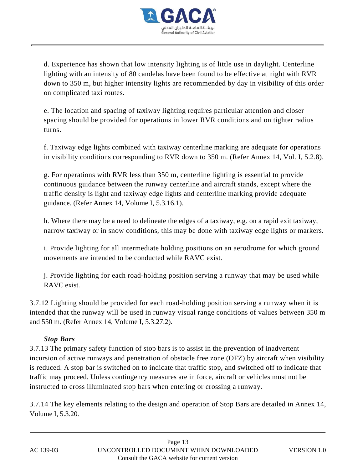

d. Experience has shown that low intensity lighting is of little use in daylight. Centerline lighting with an intensity of 80 candelas have been found to be effective at night with RVR down to 350 m, but higher intensity lights are recommended by day in visibility of this order on complicated taxi routes.

e. The location and spacing of taxiway lighting requires particular attention and closer spacing should be provided for operations in lower RVR conditions and on tighter radius turns.

f. Taxiway edge lights combined with taxiway centerline marking are adequate for operations in visibility conditions corresponding to RVR down to 350 m. (Refer Annex 14, Vol. I, 5.2.8).

g. For operations with RVR less than 350 m, centerline lighting is essential to provide continuous guidance between the runway centerline and aircraft stands, except where the traffic density is light and taxiway edge lights and centerline marking provide adequate guidance. (Refer Annex 14, Volume I, 5.3.16.1).

h. Where there may be a need to delineate the edges of a taxiway, e.g. on a rapid exit taxiway, narrow taxiway or in snow conditions, this may be done with taxiway edge lights or markers.

i. Provide lighting for all intermediate holding positions on an aerodrome for which ground movements are intended to be conducted while RAVC exist.

j. Provide lighting for each road-holding position serving a runway that may be used while RAVC exist.

3.7.12 Lighting should be provided for each road-holding position serving a runway when it is intended that the runway will be used in runway visual range conditions of values between 350 m and 550 m. (Refer Annex 14, Volume I, 5.3.27.2).

## *Stop Bars*

3.7.13 The primary safety function of stop bars is to assist in the prevention of inadvertent incursion of active runways and penetration of obstacle free zone (OFZ) by aircraft when visibility is reduced. A stop bar is switched on to indicate that traffic stop, and switched off to indicate that traffic may proceed. Unless contingency measures are in force, aircraft or vehicles must not be instructed to cross illuminated stop bars when entering or crossing a runway.

3.7.14 The key elements relating to the design and operation of Stop Bars are detailed in Annex 14, Volume I, 5.3.20.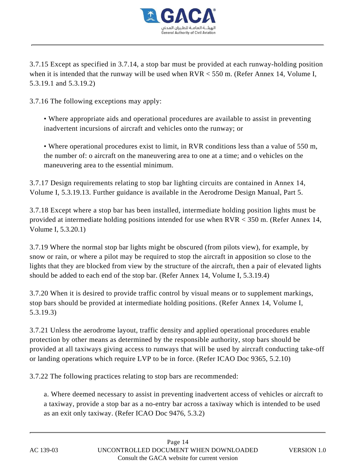

3.7.15 Except as specified in 3.7.14, a stop bar must be provided at each runway-holding position when it is intended that the runway will be used when RVR < 550 m. (Refer Annex 14, Volume I, 5.3.19.1 and 5.3.19.2)

3.7.16 The following exceptions may apply:

• Where appropriate aids and operational procedures are available to assist in preventing inadvertent incursions of aircraft and vehicles onto the runway; or

• Where operational procedures exist to limit, in RVR conditions less than a value of 550 m, the number of: o aircraft on the maneuvering area to one at a time; and o vehicles on the maneuvering area to the essential minimum.

3.7.17 Design requirements relating to stop bar lighting circuits are contained in Annex 14, Volume I, 5.3.19.13. Further guidance is available in the Aerodrome Design Manual, Part 5.

3.7.18 Except where a stop bar has been installed, intermediate holding position lights must be provided at intermediate holding positions intended for use when RVR < 350 m. (Refer Annex 14, Volume I, 5.3.20.1)

3.7.19 Where the normal stop bar lights might be obscured (from pilots view), for example, by snow or rain, or where a pilot may be required to stop the aircraft in apposition so close to the lights that they are blocked from view by the structure of the aircraft, then a pair of elevated lights should be added to each end of the stop bar. (Refer Annex 14, Volume I, 5.3.19.4)

3.7.20 When it is desired to provide traffic control by visual means or to supplement markings, stop bars should be provided at intermediate holding positions. (Refer Annex 14, Volume I, 5.3.19.3)

3.7.21 Unless the aerodrome layout, traffic density and applied operational procedures enable protection by other means as determined by the responsible authority, stop bars should be provided at all taxiways giving access to runways that will be used by aircraft conducting take-off or landing operations which require LVP to be in force. (Refer ICAO Doc 9365, 5.2.10)

3.7.22 The following practices relating to stop bars are recommended:

a. Where deemed necessary to assist in preventing inadvertent access of vehicles or aircraft to a taxiway, provide a stop bar as a no-entry bar across a taxiway which is intended to be used as an exit only taxiway. (Refer ICAO Doc 9476, 5.3.2)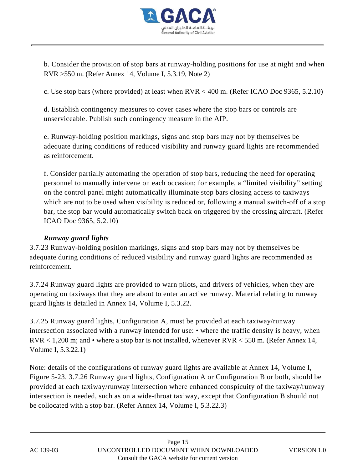

b. Consider the provision of stop bars at runway-holding positions for use at night and when RVR >550 m. (Refer Annex 14, Volume I, 5.3.19, Note 2)

c. Use stop bars (where provided) at least when RVR < 400 m. (Refer ICAO Doc 9365, 5.2.10)

d. Establish contingency measures to cover cases where the stop bars or controls are unserviceable. Publish such contingency measure in the AIP.

e. Runway-holding position markings, signs and stop bars may not by themselves be adequate during conditions of reduced visibility and runway guard lights are recommended as reinforcement.

f. Consider partially automating the operation of stop bars, reducing the need for operating personnel to manually intervene on each occasion; for example, a "limited visibility" setting on the control panel might automatically illuminate stop bars closing access to taxiways which are not to be used when visibility is reduced or, following a manual switch-off of a stop bar, the stop bar would automatically switch back on triggered by the crossing aircraft. (Refer ICAO Doc 9365, 5.2.10)

## *Runway guard lights*

3.7.23 Runway-holding position markings, signs and stop bars may not by themselves be adequate during conditions of reduced visibility and runway guard lights are recommended as reinforcement.

3.7.24 Runway guard lights are provided to warn pilots, and drivers of vehicles, when they are operating on taxiways that they are about to enter an active runway. Material relating to runway guard lights is detailed in Annex 14, Volume I, 5.3.22.

3.7.25 Runway guard lights, Configuration A, must be provided at each taxiway/runway intersection associated with a runway intended for use: • where the traffic density is heavy, when  $RVR < 1,200$  m; and • where a stop bar is not installed, whenever  $RVR < 550$  m. (Refer Annex 14, Volume I, 5.3.22.1)

Note: details of the configurations of runway guard lights are available at Annex 14, Volume I, Figure 5-23. 3.7.26 Runway guard lights, Configuration A or Configuration B or both, should be provided at each taxiway/runway intersection where enhanced conspicuity of the taxiway/runway intersection is needed, such as on a wide-throat taxiway, except that Configuration B should not be collocated with a stop bar. (Refer Annex 14, Volume I, 5.3.22.3)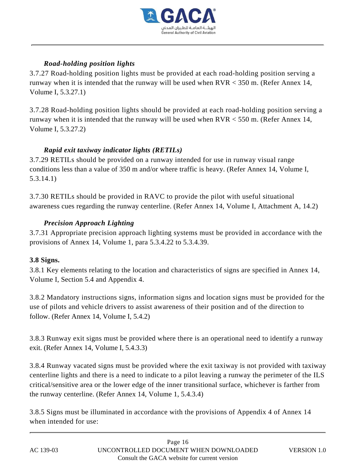

## *Road-holding position lights*

3.7.27 Road-holding position lights must be provided at each road-holding position serving a runway when it is intended that the runway will be used when RVR < 350 m. (Refer Annex 14, Volume I, 5.3.27.1)

3.7.28 Road-holding position lights should be provided at each road-holding position serving a runway when it is intended that the runway will be used when RVR < 550 m. (Refer Annex 14, Volume I, 5.3.27.2)

## *Rapid exit taxiway indicator lights (RETILs)*

3.7.29 RETILs should be provided on a runway intended for use in runway visual range conditions less than a value of 350 m and/or where traffic is heavy. (Refer Annex 14, Volume I, 5.3.14.1)

3.7.30 RETILs should be provided in RAVC to provide the pilot with useful situational awareness cues regarding the runway centerline. (Refer Annex 14, Volume I, Attachment A, 14.2)

# *Precision Approach Lighting*

3.7.31 Appropriate precision approach lighting systems must be provided in accordance with the provisions of Annex 14, Volume 1, para 5.3.4.22 to 5.3.4.39.

## **3.8 Signs.**

3.8.1 Key elements relating to the location and characteristics of signs are specified in Annex 14, Volume I, Section 5.4 and Appendix 4.

3.8.2 Mandatory instructions signs, information signs and location signs must be provided for the use of pilots and vehicle drivers to assist awareness of their position and of the direction to follow. (Refer Annex 14, Volume I, 5.4.2)

3.8.3 Runway exit signs must be provided where there is an operational need to identify a runway exit. (Refer Annex 14, Volume I, 5.4.3.3)

3.8.4 Runway vacated signs must be provided where the exit taxiway is not provided with taxiway centerline lights and there is a need to indicate to a pilot leaving a runway the perimeter of the ILS critical/sensitive area or the lower edge of the inner transitional surface, whichever is farther from the runway centerline. (Refer Annex 14, Volume 1, 5.4.3.4)

3.8.5 Signs must be illuminated in accordance with the provisions of Appendix 4 of Annex 14 when intended for use: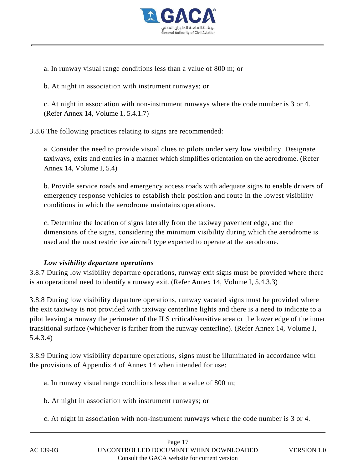

a. In runway visual range conditions less than a value of 800 m; or

b. At night in association with instrument runways; or

c. At night in association with non-instrument runways where the code number is 3 or 4. (Refer Annex 14, Volume 1, 5.4.1.7)

3.8.6 The following practices relating to signs are recommended:

a. Consider the need to provide visual clues to pilots under very low visibility. Designate taxiways, exits and entries in a manner which simplifies orientation on the aerodrome. (Refer Annex 14, Volume I, 5.4)

b. Provide service roads and emergency access roads with adequate signs to enable drivers of emergency response vehicles to establish their position and route in the lowest visibility conditions in which the aerodrome maintains operations.

c. Determine the location of signs laterally from the taxiway pavement edge, and the dimensions of the signs, considering the minimum visibility during which the aerodrome is used and the most restrictive aircraft type expected to operate at the aerodrome.

## *Low visibility departure operations*

3.8.7 During low visibility departure operations, runway exit signs must be provided where there is an operational need to identify a runway exit. (Refer Annex 14, Volume I, 5.4.3.3)

3.8.8 During low visibility departure operations, runway vacated signs must be provided where the exit taxiway is not provided with taxiway centerline lights and there is a need to indicate to a pilot leaving a runway the perimeter of the ILS critical/sensitive area or the lower edge of the inner transitional surface (whichever is farther from the runway centerline). (Refer Annex 14, Volume I, 5.4.3.4)

3.8.9 During low visibility departure operations, signs must be illuminated in accordance with the provisions of Appendix 4 of Annex 14 when intended for use:

a. In runway visual range conditions less than a value of 800 m;

- b. At night in association with instrument runways; or
- c. At night in association with non-instrument runways where the code number is 3 or 4.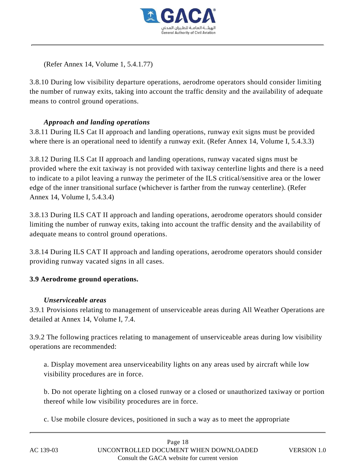

(Refer Annex 14, Volume 1, 5.4.1.77)

3.8.10 During low visibility departure operations, aerodrome operators should consider limiting the number of runway exits, taking into account the traffic density and the availability of adequate means to control ground operations.

## *Approach and landing operations*

3.8.11 During ILS Cat II approach and landing operations, runway exit signs must be provided where there is an operational need to identify a runway exit. (Refer Annex 14, Volume I, 5.4.3.3)

3.8.12 During ILS Cat II approach and landing operations, runway vacated signs must be provided where the exit taxiway is not provided with taxiway centerline lights and there is a need to indicate to a pilot leaving a runway the perimeter of the ILS critical/sensitive area or the lower edge of the inner transitional surface (whichever is farther from the runway centerline). (Refer Annex 14, Volume I, 5.4.3.4)

3.8.13 During ILS CAT II approach and landing operations, aerodrome operators should consider limiting the number of runway exits, taking into account the traffic density and the availability of adequate means to control ground operations.

3.8.14 During ILS CAT II approach and landing operations, aerodrome operators should consider providing runway vacated signs in all cases.

## **3.9 Aerodrome ground operations.**

## *Unserviceable areas*

3.9.1 Provisions relating to management of unserviceable areas during All Weather Operations are detailed at Annex 14, Volume I, 7.4.

3.9.2 The following practices relating to management of unserviceable areas during low visibility operations are recommended:

a. Display movement area unserviceability lights on any areas used by aircraft while low visibility procedures are in force.

b. Do not operate lighting on a closed runway or a closed or unauthorized taxiway or portion thereof while low visibility procedures are in force.

c. Use mobile closure devices, positioned in such a way as to meet the appropriate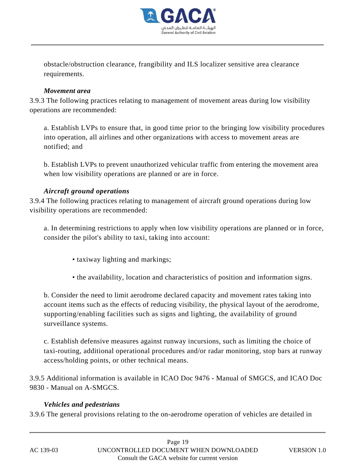

obstacle/obstruction clearance, frangibility and ILS localizer sensitive area clearance requirements.

#### *Movement area*

3.9.3 The following practices relating to management of movement areas during low visibility operations are recommended:

a. Establish LVPs to ensure that, in good time prior to the bringing low visibility procedures into operation, all airlines and other organizations with access to movement areas are notified; and

b. Establish LVPs to prevent unauthorized vehicular traffic from entering the movement area when low visibility operations are planned or are in force.

## *Aircraft ground operations*

3.9.4 The following practices relating to management of aircraft ground operations during low visibility operations are recommended:

a. In determining restrictions to apply when low visibility operations are planned or in force, consider the pilot's ability to taxi, taking into account:

- taxiway lighting and markings;
- the availability, location and characteristics of position and information signs.

b. Consider the need to limit aerodrome declared capacity and movement rates taking into account items such as the effects of reducing visibility, the physical layout of the aerodrome, supporting/enabling facilities such as signs and lighting, the availability of ground surveillance systems.

c. Establish defensive measures against runway incursions, such as limiting the choice of taxi-routing, additional operational procedures and/or radar monitoring, stop bars at runway access/holding points, or other technical means.

3.9.5 Additional information is available in ICAO Doc 9476 - Manual of SMGCS, and ICAO Doc 9830 - Manual on A-SMGCS.

## *Vehicles and pedestrians*

3.9.6 The general provisions relating to the on-aerodrome operation of vehicles are detailed in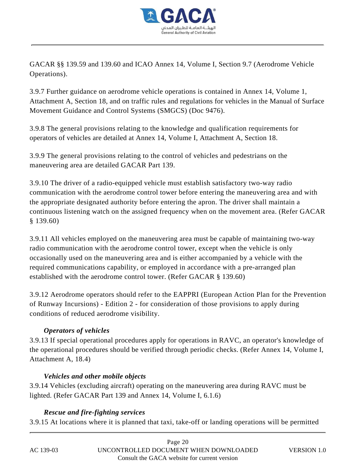

GACAR §§ 139.59 and 139.60 and ICAO Annex 14, Volume I, Section 9.7 (Aerodrome Vehicle Operations).

3.9.7 Further guidance on aerodrome vehicle operations is contained in Annex 14, Volume 1, Attachment A, Section 18, and on traffic rules and regulations for vehicles in the Manual of Surface Movement Guidance and Control Systems (SMGCS) (Doc 9476).

3.9.8 The general provisions relating to the knowledge and qualification requirements for operators of vehicles are detailed at Annex 14, Volume I, Attachment A, Section 18.

3.9.9 The general provisions relating to the control of vehicles and pedestrians on the maneuvering area are detailed GACAR Part 139.

3.9.10 The driver of a radio-equipped vehicle must establish satisfactory two-way radio communication with the aerodrome control tower before entering the maneuvering area and with the appropriate designated authority before entering the apron. The driver shall maintain a continuous listening watch on the assigned frequency when on the movement area. (Refer GACAR § 139.60)

3.9.11 All vehicles employed on the maneuvering area must be capable of maintaining two-way radio communication with the aerodrome control tower, except when the vehicle is only occasionally used on the maneuvering area and is either accompanied by a vehicle with the required communications capability, or employed in accordance with a pre-arranged plan established with the aerodrome control tower. (Refer GACAR § 139.60)

3.9.12 Aerodrome operators should refer to the EAPPRI (European Action Plan for the Prevention of Runway Incursions) - Edition 2 - for consideration of those provisions to apply during conditions of reduced aerodrome visibility.

# *Operators of vehicles*

3.9.13 If special operational procedures apply for operations in RAVC, an operator's knowledge of the operational procedures should be verified through periodic checks. (Refer Annex 14, Volume I, Attachment A, 18.4)

## *Vehicles and other mobile objects*

3.9.14 Vehicles (excluding aircraft) operating on the maneuvering area during RAVC must be lighted. (Refer GACAR Part 139 and Annex 14, Volume I, 6.1.6)

## *Rescue and fire-fighting services*

3.9.15 At locations where it is planned that taxi, take-off or landing operations will be permitted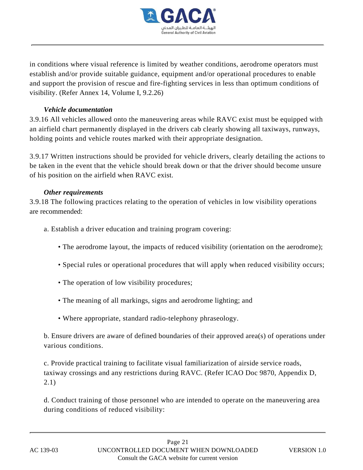

in conditions where visual reference is limited by weather conditions, aerodrome operators must establish and/or provide suitable guidance, equipment and/or operational procedures to enable and support the provision of rescue and fire-fighting services in less than optimum conditions of visibility. (Refer Annex 14, Volume I, 9.2.26)

#### *Vehicle documentation*

3.9.16 All vehicles allowed onto the maneuvering areas while RAVC exist must be equipped with an airfield chart permanently displayed in the drivers cab clearly showing all taxiways, runways, holding points and vehicle routes marked with their appropriate designation.

3.9.17 Written instructions should be provided for vehicle drivers, clearly detailing the actions to be taken in the event that the vehicle should break down or that the driver should become unsure of his position on the airfield when RAVC exist.

#### *Other requirements*

3.9.18 The following practices relating to the operation of vehicles in low visibility operations are recommended:

- a. Establish a driver education and training program covering:
	- The aerodrome layout, the impacts of reduced visibility (orientation on the aerodrome);
	- Special rules or operational procedures that will apply when reduced visibility occurs;
	- The operation of low visibility procedures;
	- The meaning of all markings, signs and aerodrome lighting; and
	- Where appropriate, standard radio-telephony phraseology.

b. Ensure drivers are aware of defined boundaries of their approved area(s) of operations under various conditions.

c. Provide practical training to facilitate visual familiarization of airside service roads, taxiway crossings and any restrictions during RAVC. (Refer ICAO Doc 9870, Appendix D, 2.1)

d. Conduct training of those personnel who are intended to operate on the maneuvering area during conditions of reduced visibility: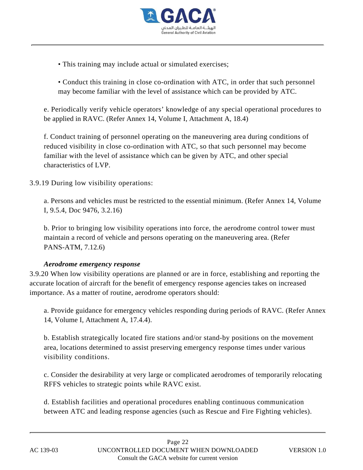

- This training may include actual or simulated exercises;
- Conduct this training in close co-ordination with ATC, in order that such personnel may become familiar with the level of assistance which can be provided by ATC.

e. Periodically verify vehicle operators' knowledge of any special operational procedures to be applied in RAVC. (Refer Annex 14, Volume I, Attachment A, 18.4)

f. Conduct training of personnel operating on the maneuvering area during conditions of reduced visibility in close co-ordination with ATC, so that such personnel may become familiar with the level of assistance which can be given by ATC, and other special characteristics of LVP.

3.9.19 During low visibility operations:

a. Persons and vehicles must be restricted to the essential minimum. (Refer Annex 14, Volume I, 9.5.4, Doc 9476, 3.2.16)

b. Prior to bringing low visibility operations into force, the aerodrome control tower must maintain a record of vehicle and persons operating on the maneuvering area. (Refer PANS-ATM, 7.12.6)

## *Aerodrome emergency response*

3.9.20 When low visibility operations are planned or are in force, establishing and reporting the accurate location of aircraft for the benefit of emergency response agencies takes on increased importance. As a matter of routine, aerodrome operators should:

a. Provide guidance for emergency vehicles responding during periods of RAVC. (Refer Annex 14, Volume I, Attachment A, 17.4.4).

b. Establish strategically located fire stations and/or stand-by positions on the movement area, locations determined to assist preserving emergency response times under various visibility conditions.

c. Consider the desirability at very large or complicated aerodromes of temporarily relocating RFFS vehicles to strategic points while RAVC exist.

d. Establish facilities and operational procedures enabling continuous communication between ATC and leading response agencies (such as Rescue and Fire Fighting vehicles).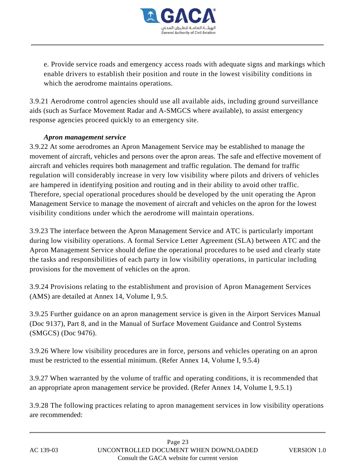

e. Provide service roads and emergency access roads with adequate signs and markings which enable drivers to establish their position and route in the lowest visibility conditions in which the aerodrome maintains operations.

3.9.21 Aerodrome control agencies should use all available aids, including ground surveillance aids (such as Surface Movement Radar and A-SMGCS where available), to assist emergency response agencies proceed quickly to an emergency site.

## *Apron management service*

3.9.22 At some aerodromes an Apron Management Service may be established to manage the movement of aircraft, vehicles and persons over the apron areas. The safe and effective movement of aircraft and vehicles requires both management and traffic regulation. The demand for traffic regulation will considerably increase in very low visibility where pilots and drivers of vehicles are hampered in identifying position and routing and in their ability to avoid other traffic. Therefore, special operational procedures should be developed by the unit operating the Apron Management Service to manage the movement of aircraft and vehicles on the apron for the lowest visibility conditions under which the aerodrome will maintain operations.

3.9.23 The interface between the Apron Management Service and ATC is particularly important during low visibility operations. A formal Service Letter Agreement (SLA) between ATC and the Apron Management Service should define the operational procedures to be used and clearly state the tasks and responsibilities of each party in low visibility operations, in particular including provisions for the movement of vehicles on the apron.

3.9.24 Provisions relating to the establishment and provision of Apron Management Services (AMS) are detailed at Annex 14, Volume I, 9.5.

3.9.25 Further guidance on an apron management service is given in the Airport Services Manual (Doc 9137), Part 8, and in the Manual of Surface Movement Guidance and Control Systems (SMGCS) (Doc 9476).

3.9.26 Where low visibility procedures are in force, persons and vehicles operating on an apron must be restricted to the essential minimum. (Refer Annex 14, Volume I, 9.5.4)

3.9.27 When warranted by the volume of traffic and operating conditions, it is recommended that an appropriate apron management service be provided. (Refer Annex 14, Volume I, 9.5.1)

3.9.28 The following practices relating to apron management services in low visibility operations are recommended: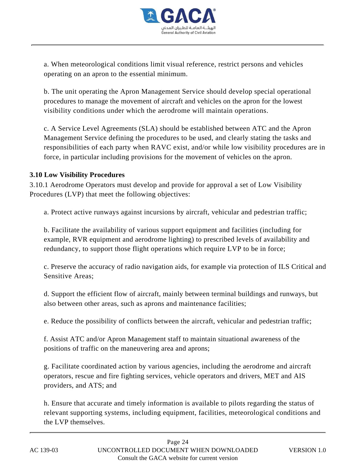

a. When meteorological conditions limit visual reference, restrict persons and vehicles operating on an apron to the essential minimum.

b. The unit operating the Apron Management Service should develop special operational procedures to manage the movement of aircraft and vehicles on the apron for the lowest visibility conditions under which the aerodrome will maintain operations.

c. A Service Level Agreements (SLA) should be established between ATC and the Apron Management Service defining the procedures to be used, and clearly stating the tasks and responsibilities of each party when RAVC exist, and/or while low visibility procedures are in force, in particular including provisions for the movement of vehicles on the apron.

## **3.10 Low Visibility Procedures**

3.10.1 Aerodrome Operators must develop and provide for approval a set of Low Visibility Procedures (LVP) that meet the following objectives:

a. Protect active runways against incursions by aircraft, vehicular and pedestrian traffic;

b. Facilitate the availability of various support equipment and facilities (including for example, RVR equipment and aerodrome lighting) to prescribed levels of availability and redundancy, to support those flight operations which require LVP to be in force;

c. Preserve the accuracy of radio navigation aids, for example via protection of ILS Critical and Sensitive Areas;

d. Support the efficient flow of aircraft, mainly between terminal buildings and runways, but also between other areas, such as aprons and maintenance facilities;

e. Reduce the possibility of conflicts between the aircraft, vehicular and pedestrian traffic;

f. Assist ATC and/or Apron Management staff to maintain situational awareness of the positions of traffic on the maneuvering area and aprons;

g. Facilitate coordinated action by various agencies, including the aerodrome and aircraft operators, rescue and fire fighting services, vehicle operators and drivers, MET and AIS providers, and ATS; and

h. Ensure that accurate and timely information is available to pilots regarding the status of relevant supporting systems, including equipment, facilities, meteorological conditions and the LVP themselves.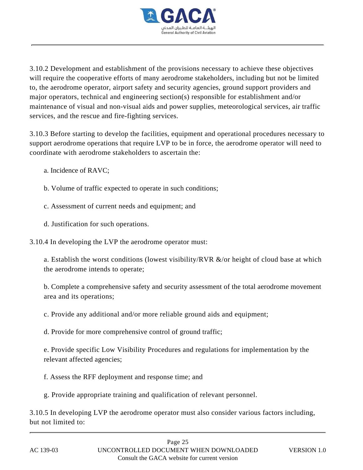

3.10.2 Development and establishment of the provisions necessary to achieve these objectives will require the cooperative efforts of many aerodrome stakeholders, including but not be limited to, the aerodrome operator, airport safety and security agencies, ground support providers and major operators, technical and engineering section(s) responsible for establishment and/or maintenance of visual and non-visual aids and power supplies, meteorological services, air traffic services, and the rescue and fire-fighting services.

3.10.3 Before starting to develop the facilities, equipment and operational procedures necessary to support aerodrome operations that require LVP to be in force, the aerodrome operator will need to coordinate with aerodrome stakeholders to ascertain the:

- a. Incidence of RAVC;
- b. Volume of traffic expected to operate in such conditions;
- c. Assessment of current needs and equipment; and
- d. Justification for such operations.
- 3.10.4 In developing the LVP the aerodrome operator must:

a. Establish the worst conditions (lowest visibility/RVR &/or height of cloud base at which the aerodrome intends to operate;

b. Complete a comprehensive safety and security assessment of the total aerodrome movement area and its operations;

c. Provide any additional and/or more reliable ground aids and equipment;

d. Provide for more comprehensive control of ground traffic;

e. Provide specific Low Visibility Procedures and regulations for implementation by the relevant affected agencies;

f. Assess the RFF deployment and response time; and

g. Provide appropriate training and qualification of relevant personnel.

3.10.5 In developing LVP the aerodrome operator must also consider various factors including, but not limited to: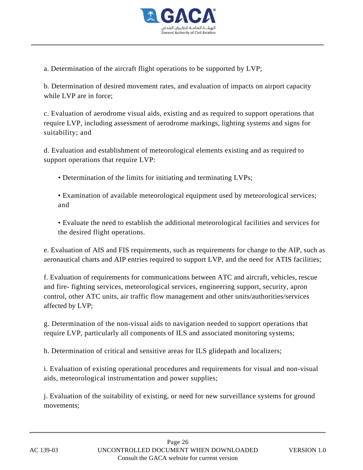

a. Determination of the aircraft flight operations to be supported by LVP;

b. Determination of desired movement rates, and evaluation of impacts on airport capacity while LVP are in force;

c. Evaluation of aerodrome visual aids, existing and as required to support operations that require LVP, including assessment of aerodrome markings, lighting systems and signs for suitability; and

d. Evaluation and establishment of meteorological elements existing and as required to support operations that require LVP:

• Determination of the limits for initiating and terminating LVPs;

• Examination of available meteorological equipment used by meteorological services; and

• Evaluate the need to establish the additional meteorological facilities and services for the desired flight operations.

e. Evaluation of AIS and FIS requirements, such as requirements for change to the AIP, such as aeronautical charts and AIP entries required to support LVP, and the need for ATIS facilities;

f. Evaluation of requirements for communications between ATC and aircraft, vehicles, rescue and fire- fighting services, meteorological services, engineering support, security, apron control, other ATC units, air traffic flow management and other units/authorities/services affected by LVP;

g. Determination of the non-visual aids to navigation needed to support operations that require LVP, particularly all components of ILS and associated monitoring systems;

h. Determination of critical and sensitive areas for ILS glidepath and localizers;

i. Evaluation of existing operational procedures and requirements for visual and non-visual aids, meteorological instrumentation and power supplies;

j. Evaluation of the suitability of existing, or need for new surveillance systems for ground movements;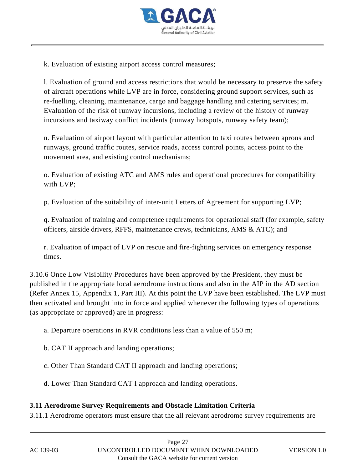

k. Evaluation of existing airport access control measures;

l. Evaluation of ground and access restrictions that would be necessary to preserve the safety of aircraft operations while LVP are in force, considering ground support services, such as re-fuelling, cleaning, maintenance, cargo and baggage handling and catering services; m. Evaluation of the risk of runway incursions, including a review of the history of runway incursions and taxiway conflict incidents (runway hotspots, runway safety team);

n. Evaluation of airport layout with particular attention to taxi routes between aprons and runways, ground traffic routes, service roads, access control points, access point to the movement area, and existing control mechanisms;

o. Evaluation of existing ATC and AMS rules and operational procedures for compatibility with LVP;

p. Evaluation of the suitability of inter-unit Letters of Agreement for supporting LVP;

q. Evaluation of training and competence requirements for operational staff (for example, safety officers, airside drivers, RFFS, maintenance crews, technicians, AMS & ATC); and

r. Evaluation of impact of LVP on rescue and fire-fighting services on emergency response times.

3.10.6 Once Low Visibility Procedures have been approved by the President, they must be published in the appropriate local aerodrome instructions and also in the AIP in the AD section (Refer Annex 15, Appendix 1, Part III). At this point the LVP have been established. The LVP must then activated and brought into in force and applied whenever the following types of operations (as appropriate or approved) are in progress:

a. Departure operations in RVR conditions less than a value of 550 m;

- b. CAT II approach and landing operations;
- c. Other Than Standard CAT II approach and landing operations;
- d. Lower Than Standard CAT I approach and landing operations.

## **3.11 Aerodrome Survey Requirements and Obstacle Limitation Criteria**

3.11.1 Aerodrome operators must ensure that the all relevant aerodrome survey requirements are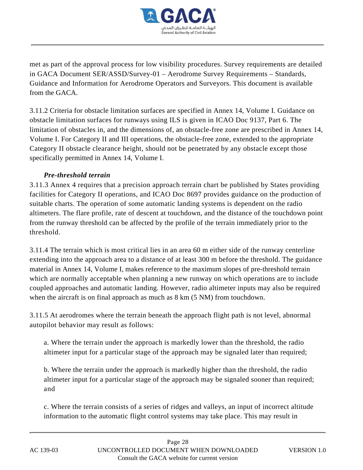

met as part of the approval process for low visibility procedures. Survey requirements are detailed in GACA Document SER/ASSD/Survey-01 – Aerodrome Survey Requirements – Standards, Guidance and Information for Aerodrome Operators and Surveyors. This document is available from the GACA.

3.11.2 Criteria for obstacle limitation surfaces are specified in Annex 14, Volume I. Guidance on obstacle limitation surfaces for runways using ILS is given in ICAO Doc 9137, Part 6. The limitation of obstacles in, and the dimensions of, an obstacle-free zone are prescribed in Annex 14, Volume I. For Category II and III operations, the obstacle-free zone, extended to the appropriate Category II obstacle clearance height, should not be penetrated by any obstacle except those specifically permitted in Annex 14, Volume I.

## *Pre-threshold terrain*

3.11.3 Annex 4 requires that a precision approach terrain chart be published by States providing facilities for Category II operations, and ICAO Doc 8697 provides guidance on the production of suitable charts. The operation of some automatic landing systems is dependent on the radio altimeters. The flare profile, rate of descent at touchdown, and the distance of the touchdown point from the runway threshold can be affected by the profile of the terrain immediately prior to the threshold.

3.11.4 The terrain which is most critical lies in an area 60 m either side of the runway centerline extending into the approach area to a distance of at least 300 m before the threshold. The guidance material in Annex 14, Volume I, makes reference to the maximum slopes of pre-threshold terrain which are normally acceptable when planning a new runway on which operations are to include coupled approaches and automatic landing. However, radio altimeter inputs may also be required when the aircraft is on final approach as much as  $8 \text{ km}$  (5 NM) from touchdown.

3.11.5 At aerodromes where the terrain beneath the approach flight path is not level, abnormal autopilot behavior may result as follows:

a. Where the terrain under the approach is markedly lower than the threshold, the radio altimeter input for a particular stage of the approach may be signaled later than required;

b. Where the terrain under the approach is markedly higher than the threshold, the radio altimeter input for a particular stage of the approach may be signaled sooner than required; and

c. Where the terrain consists of a series of ridges and valleys, an input of incorrect altitude information to the automatic flight control systems may take place. This may result in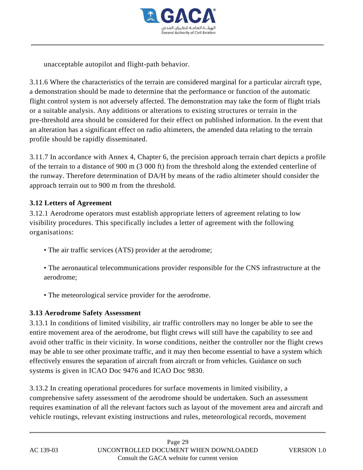

unacceptable autopilot and flight-path behavior.

3.11.6 Where the characteristics of the terrain are considered marginal for a particular aircraft type, a demonstration should be made to determine that the performance or function of the automatic flight control system is not adversely affected. The demonstration may take the form of flight trials or a suitable analysis. Any additions or alterations to existing structures or terrain in the pre-threshold area should be considered for their effect on published information. In the event that an alteration has a significant effect on radio altimeters, the amended data relating to the terrain profile should be rapidly disseminated.

3.11.7 In accordance with Annex 4, Chapter 6, the precision approach terrain chart depicts a profile of the terrain to a distance of 900 m (3 000 ft) from the threshold along the extended centerline of the runway. Therefore determination of DA/H by means of the radio altimeter should consider the approach terrain out to 900 m from the threshold.

## **3.12 Letters of Agreement**

3.12.1 Aerodrome operators must establish appropriate letters of agreement relating to low visibility procedures. This specifically includes a letter of agreement with the following organisations:

- The air traffic services (ATS) provider at the aerodrome;
- The aeronautical telecommunications provider responsible for the CNS infrastructure at the aerodrome;
- The meteorological service provider for the aerodrome.

## **3.13 Aerodrome Safety Assessment**

3.13.1 In conditions of limited visibility, air traffic controllers may no longer be able to see the entire movement area of the aerodrome, but flight crews will still have the capability to see and avoid other traffic in their vicinity. In worse conditions, neither the controller nor the flight crews may be able to see other proximate traffic, and it may then become essential to have a system which effectively ensures the separation of aircraft from aircraft or from vehicles. Guidance on such systems is given in ICAO Doc 9476 and ICAO Doc 9830.

3.13.2 In creating operational procedures for surface movements in limited visibility, a comprehensive safety assessment of the aerodrome should be undertaken. Such an assessment requires examination of all the relevant factors such as layout of the movement area and aircraft and vehicle routings, relevant existing instructions and rules, meteorological records, movement